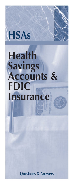# **HSAs**

# **Health Savings Accounts & FDIC Insurance**

**Questions & Answers**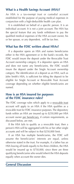#### **What is a Health Savings Account (HSA)?**

An HSA is a tax-exempt trust or custodial account established for the purpose of paying medical expenses in conjunction with a high-deductible health care plan.

 It is established on behalf of a specific person. It is an individual account. It is not a joint account. The HSA has the special feature that any funds withdrawn to pay the qualified medical expenses of the HSA account owner, his or her spouse, or any dependent, will be tax free.

#### **What has the FDIC written about HSAs?**

 If a depositor opens an HSA and names beneficiaries either in the HSA agreement or in the bank's records, the FDIC would insure the deposit under the Revocable Trust Account ownership category. If a depositor opens an HSA and does not name any beneficiaries, the FDIC would insure the deposit under the Single Account ownership category. The identification of a deposit as an HSA, such as John Smith's HSA, is sufficient for titling the deposit to be eligible for Single Account or Revocable Trust Account coverage depending on whether eligible beneficiaries are named.

#### **How is an HSA insured for purposes of the FDIC insurance rules?**

The FDIC coverage rules which apply to a revocable trust account will apply to an HSA if the HSA qualifies as a revocable trust for FDIC insurance purposes. The depository funds within an HSA are insured up to \$250,000 per HSA account owner per beneficiary, if certain requirements, as discussed below, are met.

 If the HSA fails to qualify as a revocable trust, then a person's HSA will be aggregated with his or her other single accounts and will be subject to that \$250,000 limit.

 If an HSA has multiple beneficiaries, the FDIC will assume the beneficiaries' interests are equal, unless otherwise stated in the trust. For example, if a father has an HSA leaving all funds equally to his three children, the HSA would be insured up to \$750,000, since there are three qualifying beneficiaries who would inherit the HSA deposits equally when account the owner dies.

#### **General Discussion**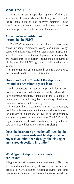#### **What is the FDIC?**

The FDIC is an independent agency of the U.S. government. It was established by Congress in 1933 to insure bank deposits and thereby maintain sound conditions in our financial system and protect the nation's money supply in case of financial institution failure.

# **Are all financial institutions insured by the FDIC?**

No. The FDIC insures deposits in national and most state banks, including commercial, savings and mutual savings banks and most savings and loan associations. Deposits in some U.S. branches of foreign depository institutions also are insured. Insured depository institutions are required to display the official FDIC sign at each teller's window or station.

 Insurance for savings in most credit unions is provided by the National Credit Union Administration.

# **How does the FDIC protect the depository institution's depositors against loss?**

 Each depository institution approved for deposit insurance must meet high standards of safety and soundness in its operating practices. Adherence to these standards is determined through regular depository institution examinations by federal or state agencies.

 If, despite these precautions, an insured depository institution gets into financial difficulties and must be closed for purposes of liquidation, the FDIC is on hand promptly with cash to protect insured depositors. The FDIC usually begins payments to depositors within a few days after the date of an insured depository institution's closing.

# **Does the insurance protection afforded by the FDIC cover losses sustained by depositors in any fashion other than through the closing of an insured depository institution?**

No.

#### **What types of deposits or accounts are insured?**

All types of deposits received in the usual course of business are insured, including savings deposits, checking deposits, deposits in NOW accounts, Christmas savings and other open-account time deposits, time certificates of deposit and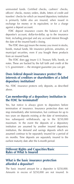uninvested funds. Certified checks, cashiers' checks, officers' checks, money orders, drafts, letters of credit and travelers' checks for which an insured depository institution is primarily liable also are insured, when issued in exchange for money or its equivalent, or for a charge against a deposit account.

 FDIC deposit insurance covers the balance of each depositor's account, dollar-for-dollar, up to the insurance limit, including principal and any accrued interest through the date of the insured bank's closing.

 The FDIC does not insure the money you invest in stocks, bonds, mutual funds, life insurance policies, annuities, or municipal securities, even if you bought these products from an insured bank.

 The FDIC does not insure U.S. Treasury bills, bonds, or notes. These are backed by the full faith and credit of the U.S. government — the strongest guarantee you can get.

# **Does federal deposit insurance protect the interests of creditors or shareholders of a failed depository institution?**

No. FDIC insurance protects only deposits, as described above.

# **Can membership of a depository institution in the FDIC be terminated?**

Yes, but notice is always given to depositors before termination of insurance. Insurance protection does not stop immediately after termination, but continues for up to two years on deposits existing at the date of termination, less subsequent withdrawals, up to the \$250,000 maximum. In the event the deposits of a depository institution are assumed by another insured depository institution, the demand and savings deposits which are assumed continue to be separately insured for a period of six months. Time deposits are separately insured to the earliest maturity date after the 6-month period.

#### **Different Rights and Capacities/Basic Rules of What Is Insured**

# **What is the basic insurance protection afforded a depositor?**

The basic insured amount for a depositor is \$250,000. Amounts in excess of \$250,000 are not insured. In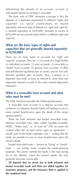determining the amount of an account, accrued or anticipated interest or earnings is included.

 The basic rule of FDIC insurance coverage is that the deposits of a depositor maintained in different "rights and capacities" (i.e. special classifications) are insured separately, and each type of deposit (i.e. right and capacity) is insured separately to \$250,000. Amounts in excess of \$250,000 are not insured unless held in a different right and capacity.

#### **What are the basic types of rights and capacities that are generally insured separately to \$250,000?**

There are six basic types of accounts for "right and capacity" purposes. They are: (1) accounts of a single holder or individual accounts; (2) joint accounts; (3) revocable or "Totten" trust accounts; (4) general trust accounts; (5) IRAs and self-directed qualified plan accounts; and (6) non-selfdirected qualified plan accounts. Thus, a person or a depositor may hold, or have an interest in, more than one separately insured account in the same insured depository institution.

#### **What is a revocable trust account and what rules must be met?**

The FDIC brochure provides the following discussion.

 A revocable trust account is a deposit account that evidences an intention that the funds will belong to one or more named beneficiaries upon the death of the owner (grantor/settlor).

 There are both informal and formal revocable trusts. Informal revocable trust, often called "payable-on-death" (POD), "Totten trust," or "in trust for" (ITF) accounts are created when the account owner signs an agreement usually part of the bank's signature card — stating that the funds are payable to one or more beneficiaries upon the owner's death.

 Formal revocable trusts — known as "living" or "family" trusts — are written trusts created for estate-planning purposes. The owner controls the funds in the trust during his or her lifetime. Upon the owner's death, the trust generally becomes irrevocable.

 **All deposits that an owner has in both informal and formal revocable trusts and HSAs are added together for insurance purposes, and the insurance limit is applied to the combined total.**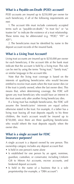# **What is a Payable-on-Death (POD) account?**

POD accounts are insured up to \$250,000 per owner for each beneficiary, if all of the following requirements are met:

 1. The account title must include commonly accepted terms such as "payable-on-death," "in trust for," or "as trustee for" to indicate the existence of a trust relationship. These terms may be abbreviated (e.g. "POD," "ITF" or ATF").

 2. The beneficiaries must be identified by name in the deposit account records of the insured bank.

# **What is a Living Trust Account?**

Living trust accounts are insured up to \$250,000 per owner for each beneficiary, if the account title at the bank must indicate that the account is held by a living trust. This rule can be met by using the terms "living trust," "family trust," or similar language in the account title.

 Note that the living trust coverage is based on the interests of qualifying beneficiaries who would become entitled to receive trust assets when the trust owner dies (or if the trust is jointly owned, when the last owner dies). This means that, when determining coverage, the FDIC will ignore any trust beneficiary who would have an interest in the trust assets only after another living beneficiary dies.

 If a living trust has multiple beneficiaries, the FDIC will assume the beneficiaries' interests are equal unless otherwise stated in the trust. For example, if a father has a living trust leaving all trust deposits equally to his three children, the trust's account would be insured up to \$750,000, since there are three qualifying beneficiaries who would inherit the trust deposits equally when the owner dies.

# **What is a single account for FDIC insurance purposes?**

A single account is a deposit owned by one person. This ownership category includes any deposit account that:

- Is held in one person's name alone
- Is established for one person by an agent, nominee, guardian, custodian, or conservator, including Uniform Gift to Minors Act accounts, escrow accounts, and brokered deposit accounts
- Is held in the name of a business that is a sole proprietorship (for example, a "DBA account")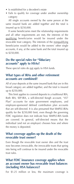- Is established for a decedent's estate
- Fails to qualify for coverage under another ownership category

 All single accounts owned by the same person at the same insured bank are added together and the total is insured up to \$250,000.

 If some beneficiaries meet the relationship requirements and all other requirements are met, the interests of the qualifying beneficiaries would be insured under the revocable trust category. The interests of the nonqualifying beneficiaries would be added to the owners' other single accounts, if any, at the same bank and the total insured up to \$250,000.

#### **Do the special rules for "fiduciary accounts" apply to HSAs?**

These special rules do not apply to HSA funds.

# **What types of IRAs and other retirement accounts are combined?**

All of your deposits at the same insured bank that are in this broad category are added together, and the total is insured up to \$250,000.

 This limit applies to covered deposits to a traditional IRA, Roth IRA, SEP-IRA, a self-directed Keogh account, "457 Plan" accounts for state government employees, and employee-sponsored defined contribution plan accounts that are self-directed. It is also presumed that SIMPLE-IRAs qualify for the \$250,000 limit, even though the governing FDIC regulation does not indicate how SIMPLE-IRA funds are covered. In general, self-directed means that the individual (and not an employer) chooses how and where the money is deposited.

#### **What coverage applies up the death of the revocable trust owner?**

Even though the revocable trust owner dies and the trust now becomes irrevocable, the irrevocable trusts that spring into being will continue to be insured under the revocable trust rules.

#### **What FDIC insurance coverage applies when an account owner has revocable trust balances (including HSA balances)?**

For \$1.25 million or less, the maximum coverage is